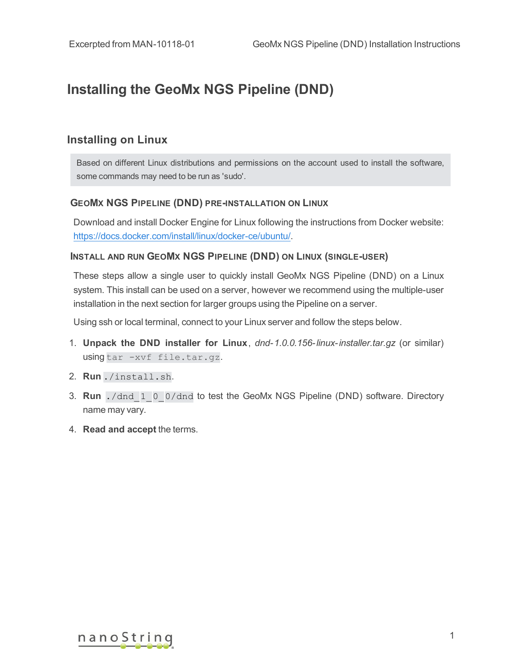# **Installing the GeoMx NGS Pipeline (DND)**

### **Installing on Linux**

Based on different Linux distributions and permissions on the account used to install the software, some commands may need to be run as 'sudo'.

#### **GEOMX NGS PIPELINE (DND) PRE-INSTALLATION ON LINUX**

Download and install Docker Engine for Linux following the instructions from Docker website: <https://docs.docker.com/install/linux/docker-ce/ubuntu/>.

#### **INSTALL AND RUN GEOMX NGS PIPELINE (DND) ON LINUX (SINGLE-USER)**

These steps allow a single user to quickly install GeoMx NGS Pipeline (DND) on a Linux system. This install can be used on a server, however we recommend using the multiple-user installation in the next section for larger groups using the Pipeline on a server.

Using ssh or local terminal, connect to your Linux server and follow the steps below.

- 1. **Unpack the DND installer for Linux**, *dnd- 1.0.0.156- linux- installer.tar.gz* (or similar) using tar -xvf file.tar.gz.
- 2. **Run** ./install.sh.
- 3. **Run** ./dnd\_1\_0\_0/dnd to test the GeoMx NGS Pipeline (DND) software. Directory name may vary.
- 4. **Read and accept** the terms.